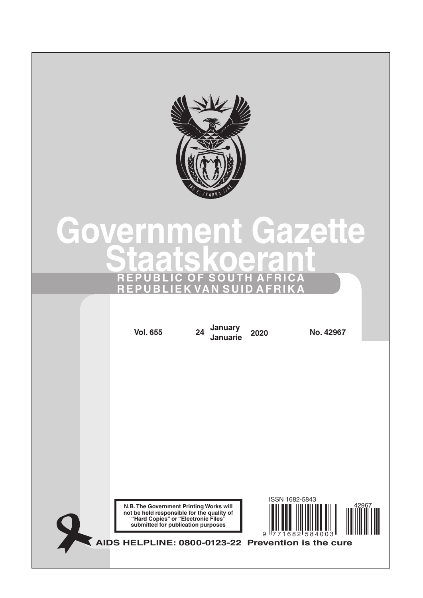

# **[Government](http://www.greengazette.co.za/government-gazette) [Gazette](http://www.greengazette.co.za/government-gazette) [Staatskoerant](http://www.greengazette.co.za/staatskoerant) REPUBLIC OF SOUTH AFRICA REPUBLIEK VAN SUID AFRIKA**

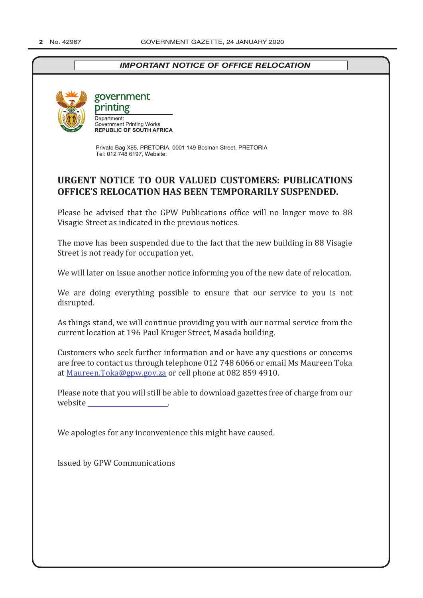## *IMPORTANT NOTICE OF OFFICE RELOCATION*



government

printing Denartment: **Government Printing Works<br>
REPUBLIC OF SOUTH AFRICA** 

Private Bag X85, PRETORIA, 0001 149 Bosman Street, PRETORIA Tel: 012 748 6197, Website:

## **URGENT NOTICE TO OUR VALUED CUSTOMERS: PUBLICATIONS OFFICE'S RELOCATION HAS BEEN TEMPORARILY SUSPENDED.**

Please be advised that the GPW Publications office will no longer move to 88 Visagie Street as indicated in the previous notices.

The move has been suspended due to the fact that the new building in 88 Visagie Street is not ready for occupation yet.

We will later on issue another notice informing you of the new date of relocation.

We are doing everything possible to ensure that our service to you is not disrupted.

As things stand, we will continue providing you with our normal service from the current location at 196 Paul Kruger Street, Masada building.

Customers who seek further information and or have any questions or concerns are free to contact us through telephone 012 748 6066 or email Ms Maureen Toka at Maureen.Toka@gpw.gov.za or cell phone at 082 859 4910.

Please note that you will still be able to download gazettes free of charge from our website .

We apologies for any inconvenience this might have caused.

Issued by GPW Communications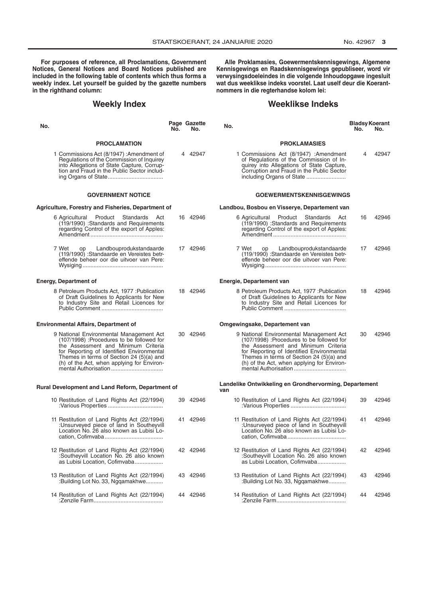**For purposes of reference, all Proclamations, Government Notices, General Notices and Board Notices published are included in the following table of contents which thus forms a weekly index. Let yourself be guided by the gazette numbers in the righthand column:**

## **Weekly Index**

| No. |                                                                                                                                                                                                                                                                    | No. | Page Gazette<br>No. | No.                                                                                                                                                                                                                                                                | <b>Bladsy Koerant</b><br>No. | No.   |
|-----|--------------------------------------------------------------------------------------------------------------------------------------------------------------------------------------------------------------------------------------------------------------------|-----|---------------------|--------------------------------------------------------------------------------------------------------------------------------------------------------------------------------------------------------------------------------------------------------------------|------------------------------|-------|
|     | <b>PROCLAMATION</b>                                                                                                                                                                                                                                                |     |                     | <b>PROKLAMASIES</b>                                                                                                                                                                                                                                                |                              |       |
|     | 1 Commissions Act (8/1947): Amendment of<br>Regulations of the Commission of Inquirey<br>into Allegations of State Capture, Corrup-<br>tion and Fraud in the Public Sector includ-                                                                                 |     | 4 42947             | 1 Commissions Act (8/1947) :Amendment<br>of Regulations of the Commission of In-<br>quirey into Allegations of State Capture,<br>Corruption and Fraud in the Public Sector<br>including Organs of State                                                            |                              | 42947 |
|     | <b>GOVERNMENT NOTICE</b>                                                                                                                                                                                                                                           |     |                     | <b>GOEWERMENTSKENNISGEWINGS</b>                                                                                                                                                                                                                                    |                              |       |
|     | Agriculture, Forestry and Fisheries, Department of                                                                                                                                                                                                                 |     |                     | Landbou, Bosbou en Visserye, Departement van                                                                                                                                                                                                                       |                              |       |
|     | 6 Agricultural Product Standards<br>Act<br>(119/1990) :Standards and Requirements<br>regarding Control of the export of Apples:                                                                                                                                    |     | 16 42946            | 6 Agricultural Product Standards Act<br>(119/1990) :Standards and Requirements<br>regarding Control of the export of Apples:                                                                                                                                       | 16                           | 42946 |
|     | 7 Wet<br>op<br>Landbouprodukstandaarde<br>(119/1990) :Standaarde en Vereistes betr-<br>effende beheer oor die uitvoer van Pere:                                                                                                                                    |     | 17 42946            | 7 Wet<br>op<br>Landbouprodukstandaarde<br>(119/1990) : Standaarde en Vereistes betr-<br>effende beheer oor die uitvoer van Pere:                                                                                                                                   | 17                           | 42946 |
|     | <b>Energy, Department of</b>                                                                                                                                                                                                                                       |     |                     | Energie, Departement van                                                                                                                                                                                                                                           |                              |       |
|     | 8 Petroleum Products Act, 1977 : Publication<br>of Draft Guidelines to Applicants for New<br>to Industry Site and Retail Licences for                                                                                                                              |     | 18 42946            | 8 Petroleum Products Act, 1977 : Publication<br>of Draft Guidelines to Applicants for New<br>to Industry Site and Retail Licences for                                                                                                                              | 18                           | 42946 |
|     | <b>Environmental Affairs, Department of</b>                                                                                                                                                                                                                        |     |                     | Omgewingsake, Departement van                                                                                                                                                                                                                                      |                              |       |
|     | 9 National Environmental Management Act<br>(107/1998) :Procedures to be followed for<br>the Assessment and Minimum Criteria<br>for Reporting of Identified Environmental<br>Themes in terms of Section 24 (5)(a) and<br>(h) of the Act, when applying for Environ- |     | 30 42946            | 9 National Environmental Management Act<br>(107/1998) :Procedures to be followed for<br>the Assessment and Minimum Criteria<br>for Reporting of Identified Environmental<br>Themes in terms of Section 24 (5)(a) and<br>(h) of the Act, when applying for Environ- | 30                           | 42946 |
|     | Rural Development and Land Reform, Department of                                                                                                                                                                                                                   |     |                     | Landelike Ontwikkeling en Grondhervorming, Departement<br>van                                                                                                                                                                                                      |                              |       |
|     | 10 Restitution of Land Rights Act (22/1994)                                                                                                                                                                                                                        |     | 39 42946            | 10 Restitution of Land Rights Act (22/1994)                                                                                                                                                                                                                        | 39                           | 42946 |
|     | 11 Restitution of Land Rights Act (22/1994)<br>:Unsurveyed piece of land in Southeyvill<br>Location No. 26 also known as Lubisi Lo-                                                                                                                                |     | 41 42946            | 11 Restitution of Land Rights Act (22/1994)<br>:Unsurveyed piece of land in Southeyvill<br>Location No. 26 also known as Lubisi Lo-                                                                                                                                | 41                           | 42946 |
|     | 12 Restitution of Land Rights Act (22/1994)<br>:Southeyvill Location No. 26 also known<br>as Lubisi Location, Cofimvaba                                                                                                                                            |     | 42 42946            | 12 Restitution of Land Rights Act (22/1994)<br>:Southeyvill Location No. 26 also known<br>as Lubisi Location, Cofimvaba                                                                                                                                            | 42                           | 42946 |
|     | 13 Restitution of Land Rights Act (22/1994)<br>:Building Lot No. 33, Ngqamakhwe                                                                                                                                                                                    |     | 43 42946            | 13 Restitution of Land Rights Act (22/1994)<br>:Building Lot No. 33, Ngqamakhwe                                                                                                                                                                                    | 43                           | 42946 |
|     | 14 Restitution of Land Rights Act (22/1994)                                                                                                                                                                                                                        |     | 44 42946            | 14 Restitution of Land Rights Act (22/1994)                                                                                                                                                                                                                        | 44                           | 42946 |

**Alle Proklamasies, Goewermentskennisgewings, Algemene Kennisgewings en Raadskennisgewings gepubliseer, word vir verwysingsdoeleindes in die volgende Inhoudopgawe ingesluit wat dus weeklikse indeks voorstel. Laat uself deur die Koerantnommers in die regterhandse kolom lei:**

#### **Weeklikse Indeks**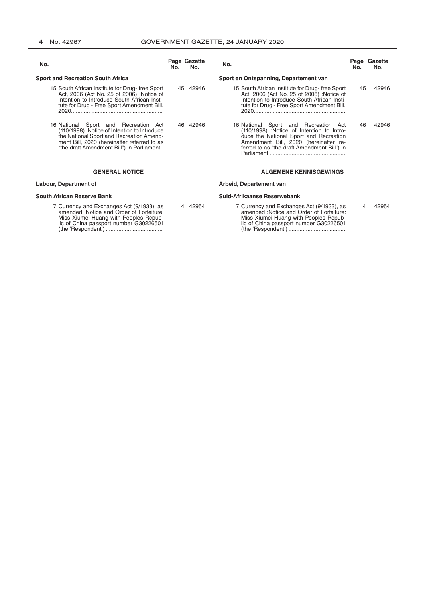(the 'Respondent') ....................................

| No.                                                                                                                                                                                                                               | No. | Page Gazette<br>No. | No.                                                                                                                                                                                                                 | No. | Page Gazette<br>No. |
|-----------------------------------------------------------------------------------------------------------------------------------------------------------------------------------------------------------------------------------|-----|---------------------|---------------------------------------------------------------------------------------------------------------------------------------------------------------------------------------------------------------------|-----|---------------------|
| <b>Sport and Recreation South Africa</b>                                                                                                                                                                                          |     |                     | Sport en Ontspanning, Departement van                                                                                                                                                                               |     |                     |
| 15 South African Institute for Drug-free Sport<br>Act, 2006 (Act No. 25 of 2006) : Notice of<br>Intention to Introduce South African Insti-<br>tute for Drug - Free Sport Amendment Bill,                                         | 45  | 42946               | 15 South African Institute for Drug-free Sport<br>Act, 2006 (Act No. 25 of 2006) : Notice of<br>Intention to Introduce South African Insti-<br>tute for Drug - Free Sport Amendment Bill,                           | 45  | 42946               |
| 16 National Sport and Recreation<br>Act<br>(110/1998) : Notice of Intention to Introduce<br>the National Sport and Recreation Amend-<br>ment Bill, 2020 (hereinafter referred to as<br>"the draft Amendment Bill") in Parliament. | 46. | 42946               | 16 National Sport and Recreation Act<br>(110/1998) :Notice of Intention to Intro-<br>duce the National Sport and Recreation<br>Amendment Bill, 2020 (hereinafter re-<br>ferred to as "the draft Amendment Bill") in | 46  | 42946               |
| <b>GENERAL NOTICE</b>                                                                                                                                                                                                             |     |                     | <b>ALGEMENE KENNISGEWINGS</b>                                                                                                                                                                                       |     |                     |
| Labour, Department of                                                                                                                                                                                                             |     |                     | Arbeid, Departement van                                                                                                                                                                                             |     |                     |
| <b>South African Reserve Bank</b>                                                                                                                                                                                                 |     |                     | Suid-Afrikaanse Reserwebank                                                                                                                                                                                         |     |                     |
| 7 Currency and Exchanges Act (9/1933), as<br>amended : Notice and Order of Forfeiture:<br>Miss Xiumei Huang with Peoples Repub-<br>lic of China passport number G30226501                                                         |     | 42954               | 7 Currency and Exchanges Act (9/1933), as<br>amended : Notice and Order of Forfeiture:<br>Miss Xiumei Huang with Peoples Repub-<br>lic of China passport number G30226501                                           |     | 42954               |

(the 'Respondent') ....................................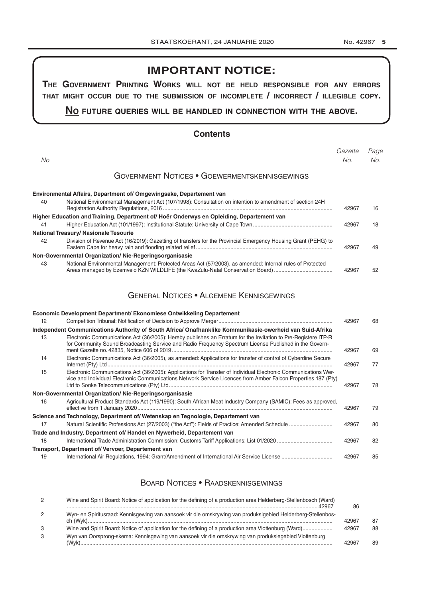## **IMPORTANT NOTICE:**

**The GovernmenT PrinTinG Works Will noT be held resPonsible for any errors ThaT miGhT occur due To The submission of incomPleTe / incorrecT / illeGible coPy.**

## **no fuTure queries Will be handled in connecTion WiTh The above.**

## **Contents**

|                   |                                                                                                                | Gazette | Page |
|-------------------|----------------------------------------------------------------------------------------------------------------|---------|------|
| No.               |                                                                                                                | No.     | No.  |
|                   | <b>GOVERNMENT NOTICES • GOEWERMENTSKENNISGEWINGS</b>                                                           |         |      |
|                   | Environmental Affairs, Department of/ Omgewingsake, Departement van                                            |         |      |
| 40                | National Environmental Management Act (107/1998): Consultation on intention to amendment of section 24H        | 42967   | 16   |
|                   | Higher Education and Training, Department of/ Hoër Onderwys en Opleiding, Departement van                      |         |      |
| 41                |                                                                                                                | 42967   | 18   |
|                   | National Treasury/ Nasionale Tesourie                                                                          |         |      |
| 42                | Division of Revenue Act (16/2019): Gazetting of transfers for the Provincial Emergency Housing Grant (PEHG) to | 42967   | 49   |
|                   | Non-Governmental Organization/Nie-Regeringsorganisasie                                                         |         |      |
| 43                | National Environmental Management: Protected Areas Act (57/2003), as amended: Internal rules of Protected      | 42967   | 52   |
|                   | <b>GENERAL NOTICES • ALGEMENE KENNISGEWINGS</b>                                                                |         |      |
|                   | Economic Development Department/ Ekonomiese Ontwikkeling Departement                                           |         |      |
| 12                |                                                                                                                | 42967   | 68   |
|                   | Independent Communications Authority of South Africa/ Onafhanklike Kommunikasie-owerheid van Suid-Afrika       |         |      |
| $\overline{12}$ . | Electronic Communications Act (36/2005): Hereby publishes an Erratum for the Invitation to Pre-Registere ITP-R |         |      |

| 13 | Electronic Communications Act (36/2005): Hereby publishes an Erratum for the Invitation to Pre-Registere ITP-R<br>for Community Sound Broadcasting Service and Radio Frequency Spectrum License Published in the Govern-         | 42967 | 69 |
|----|----------------------------------------------------------------------------------------------------------------------------------------------------------------------------------------------------------------------------------|-------|----|
| 14 | Electronic Communications Act (36/2005), as amended: Applications for transfer of control of Cyberdine Secure                                                                                                                    | 42967 | 77 |
| 15 | Electronic Communications Act (36/2005): Applications for Transfer of Individual Electronic Communications Wer-<br>vice and Individual Electronic Communications Network Service Licences from Amber Falcon Properties 187 (Pty) | 42967 | 78 |
|    | Non-Governmental Organization/Nie-Regeringsorganisasie                                                                                                                                                                           |       |    |
| 16 | Agricultural Product Standards Act (119/1990): South African Meat Industry Company (SAMIC): Fees as approved,                                                                                                                    | 42967 | 79 |
|    | Science and Technology, Department of/Wetenskap en Tegnologie, Departement van                                                                                                                                                   |       |    |
| 17 |                                                                                                                                                                                                                                  | 42967 | 80 |
|    | Trade and Industry, Department of/ Handel en Nywerheid, Departement van                                                                                                                                                          |       |    |
| 18 |                                                                                                                                                                                                                                  | 42967 | 82 |
|    | Transport, Department of/Vervoer, Departement van                                                                                                                                                                                |       |    |
| 19 |                                                                                                                                                                                                                                  | 42967 | 85 |

## Board Notices • Raadskennisgewings

| $\overline{2}$ | Wine and Spirit Board: Notice of application for the defining of a production area Helderberg-Stellenbosch (Ward)<br>42967 | 86    |    |
|----------------|----------------------------------------------------------------------------------------------------------------------------|-------|----|
| 2              | Wyn- en Spiritusraad: Kennisgewing van aansoek vir die omskrywing van produksigebied Helderberg-Stellenbos-                |       |    |
|                |                                                                                                                            | 42967 | 87 |
| -3             |                                                                                                                            | 42967 | R۶ |
|                | Wyn van Oorsprong-skema: Kennisgewing van aansoek vir die omskrywing van produksiegebied Vlottenburg                       |       |    |
|                |                                                                                                                            |       | 8s |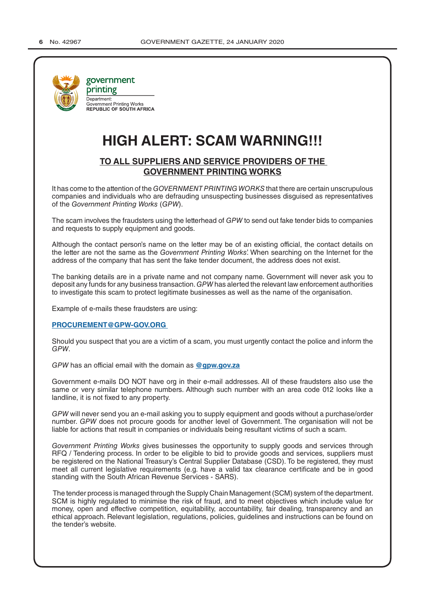

## **HIGH ALERT: SCAM WARNING!!!**

## **TO ALL SUPPLIERS AND SERVICE PROVIDERS OF THE GOVERNMENT PRINTING WORKS**

It has come to the attention of the *GOVERNMENT PRINTING WORKS* that there are certain unscrupulous companies and individuals who are defrauding unsuspecting businesses disguised as representatives of the *Government Printing Works* (*GPW*).

The scam involves the fraudsters using the letterhead of *GPW* to send out fake tender bids to companies and requests to supply equipment and goods.

Although the contact person's name on the letter may be of an existing official, the contact details on the letter are not the same as the *Government Printing Works*'. When searching on the Internet for the address of the company that has sent the fake tender document, the address does not exist.

The banking details are in a private name and not company name. Government will never ask you to deposit any funds for any business transaction. *GPW* has alerted the relevant law enforcement authorities to investigate this scam to protect legitimate businesses as well as the name of the organisation.

Example of e-mails these fraudsters are using:

**PROCUREMENT@GPW-GOV.ORG** 

Should you suspect that you are a victim of a scam, you must urgently contact the police and inform the *GPW*.

*GPW* has an official email with the domain as **@gpw.gov.za**

Government e-mails DO NOT have org in their e-mail addresses. All of these fraudsters also use the same or very similar telephone numbers. Although such number with an area code 012 looks like a landline, it is not fixed to any property.

*GPW* will never send you an e-mail asking you to supply equipment and goods without a purchase/order number. *GPW* does not procure goods for another level of Government. The organisation will not be liable for actions that result in companies or individuals being resultant victims of such a scam.

*Government Printing Works* gives businesses the opportunity to supply goods and services through RFQ / Tendering process. In order to be eligible to bid to provide goods and services, suppliers must be registered on the [National Treasury's](http://www.greengazette.co.za/departments/national-treasury) Central Supplier Database (CSD). To be registered, they must meet all current legislative requirements (e.g. have a valid tax clearance certificate and be in good standing with the South African Revenue Services - SARS).

 The tender process is managed through the Supply Chain Management (SCM) system of the department. SCM is highly regulated to minimise the risk of fraud, and to meet objectives which include value for money, open and effective competition, equitability, accountability, fair dealing, transparency and an ethical approach. Relevant legislation, regulations, policies, guidelines and instructions can be found on the tender's website.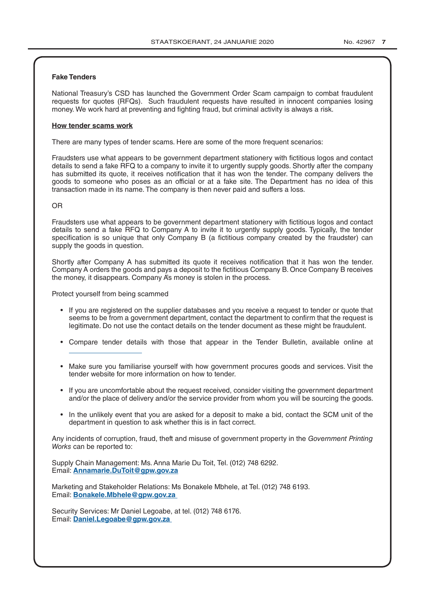#### **Fake Tenders**

[National Treasury's](http://www.greengazette.co.za/departments/national-treasury) CSD has launched the Government Order Scam campaign to combat fraudulent requests for quotes (RFQs). Such fraudulent requests have resulted in innocent companies losing money. We work hard at preventing and fighting fraud, but criminal activity is always a risk.

#### **How tender scams work**

There are many types of tender scams. Here are some of the more frequent scenarios:

Fraudsters use what appears to be government department stationery with fictitious logos and contact details to send a fake RFQ to a company to invite it to urgently supply goods. Shortly after the company has submitted its quote, it receives notification that it has won the tender. The company delivers the goods to someone who poses as an official or at a fake site. The Department has no idea of this transaction made in its name. The company is then never paid and suffers a loss.

#### OR

Fraudsters use what appears to be government department stationery with fictitious logos and contact details to send a fake RFQ to Company A to invite it to urgently supply goods. Typically, the tender specification is so unique that only Company B (a fictitious company created by the fraudster) can supply the goods in question.

Shortly after Company A has submitted its quote it receives notification that it has won the tender. Company A orders the goods and pays a deposit to the fictitious Company B. Once Company B receives the money, it disappears. Company A's money is stolen in the process.

Protect yourself from being scammed

- If you are registered on the supplier databases and you receive a request to tender or quote that seems to be from a government department, contact the department to confirm that the request is legitimate. Do not use the contact details on the tender document as these might be fraudulent.
- Compare tender details with those that appear in the [Tender Bulletin,](http://www.greengazette.co.za/publications/tender-bulletins) available online at
- Make sure you familiarise yourself with how government procures goods and services. Visit the tender website for more information on how to tender.
- If you are uncomfortable about the request received, consider visiting the government department and/or the place of delivery and/or the service provider from whom you will be sourcing the goods.
- In the unlikely event that you are asked for a deposit to make a bid, contact the SCM unit of the department in question to ask whether this is in fact correct.

Any incidents of corruption, fraud, theft and misuse of government property in the *Government Printing Works* can be reported to:

Supply Chain Management: Ms. Anna Marie Du Toit, Tel. (012) 748 6292. Email: **Annamarie.DuToit@gpw.gov.za**

Marketing and Stakeholder Relations: Ms Bonakele Mbhele, at Tel. (012) 748 6193. Email: **Bonakele.Mbhele@gpw.gov.za** 

Security Services: Mr Daniel Legoabe, at tel. (012) 748 6176. Email: **Daniel.Legoabe@gpw.gov.za**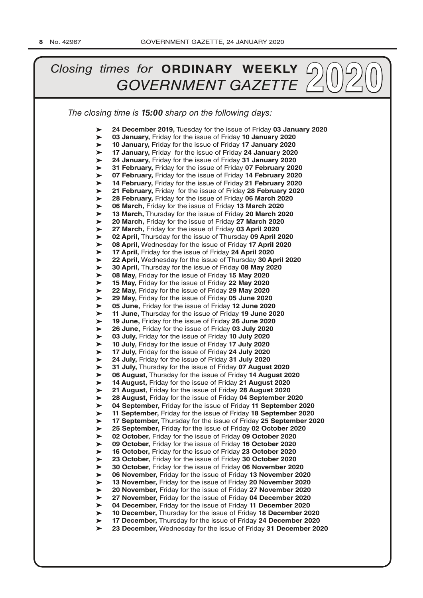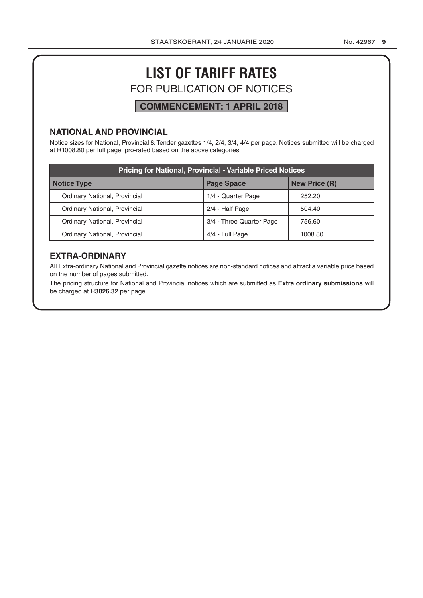## **LIST OF TARIFF RATES** FOR PUBLICATION OF NOTICES

## **COMMENCEMENT: 1 APRIL 2018**

## **NATIONAL AND PROVINCIAL**

Notice sizes for National, Provincial & Tender gazettes 1/4, 2/4, 3/4, 4/4 per page. Notices submitted will be charged at R1008.80 per full page, pro-rated based on the above categories.

| <b>Pricing for National, Provincial - Variable Priced Notices</b> |                          |                      |  |  |
|-------------------------------------------------------------------|--------------------------|----------------------|--|--|
| Notice Type                                                       | <b>Page Space</b>        | <b>New Price (R)</b> |  |  |
| Ordinary National, Provincial                                     | 1/4 - Quarter Page       | 252.20               |  |  |
| Ordinary National, Provincial                                     | 2/4 - Half Page          | 504.40               |  |  |
| Ordinary National, Provincial                                     | 3/4 - Three Quarter Page | 756.60               |  |  |
| Ordinary National, Provincial                                     | 4/4 - Full Page          | 1008.80              |  |  |

## **EXTRA-ORDINARY**

All Extra-ordinary National and Provincial gazette notices are non-standard notices and attract a variable price based on the number of pages submitted.

The pricing structure for National and Provincial notices which are submitted as **Extra ordinary submissions** will be charged at R**3026.32** per page.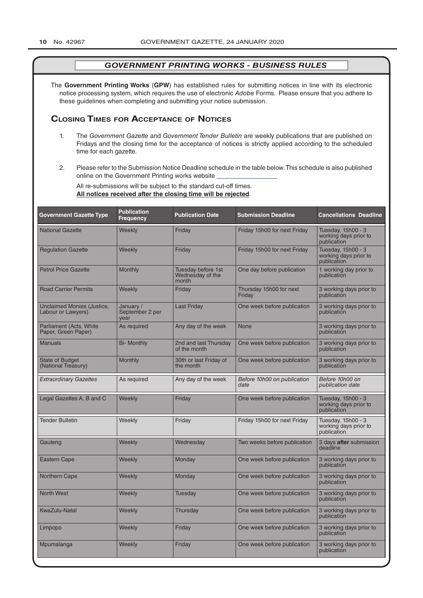The **Government Printing Works** (**GPW**) has established rules for submitting notices in line with its electronic notice processing system, which requires the use of electronic *Adobe* Forms. Please ensure that you adhere to these guidelines when completing and submitting your notice submission.

## **Closing Times for ACCepTAnCe of noTiCes**

- 1. The *[Government Gazette](http://www.greengazette.co.za/government-gazette)* and *[Government Tender Bulletin](http://www.greengazette.co.za/publications/tender-bulletins)* are weekly publications that are published on Fridays and the closing time for the acceptance of notices is strictly applied according to the scheduled time for each gazette.
- 2. Please refer to the Submission Notice Deadline schedule in the table below. This schedule is also published online on the Government Printing works website

All re-submissions will be subject to the standard cut-off times. **All notices received after the closing time will be rejected**.

| <b>Government Gazette Type</b>                   | <b>Publication</b><br><b>Frequency</b> | <b>Publication Date</b>                                | <b>Submission Deadline</b>          | <b>Cancellations Deadline</b>                              |
|--------------------------------------------------|----------------------------------------|--------------------------------------------------------|-------------------------------------|------------------------------------------------------------|
| <b>National Gazette</b>                          | Weekly                                 | Friday                                                 | Friday 15h00 for next Friday        | Tuesday, 15h00 - 3<br>working days prior to<br>publication |
| <b>Regulation Gazette</b>                        | Weekly                                 | Friday                                                 | Friday 15h00 for next Friday        | Tuesday, 15h00 - 3<br>working days prior to<br>publication |
| <b>Petrol Price Gazette</b>                      | Monthly                                | <b>Tuesday before 1st</b><br>Wednesday of the<br>month | One day before publication          | 1 working day prior to<br>publication                      |
| <b>Road Carrier Permits</b>                      | Weekly                                 | Friday                                                 | Thursday 15h00 for next<br>Friday   | 3 working days prior to<br>publication                     |
| Unclaimed Monies (Justice,<br>Labour or Lawyers) | January /<br>September 2 per<br>vear   | <b>Last Friday</b>                                     | One week before publication         | 3 working days prior to<br>publication                     |
| Parliament (Acts, White<br>Paper, Green Paper)   | As required                            | Any day of the week                                    | None                                | 3 working days prior to<br>publication                     |
| Manuals                                          | <b>Bi- Monthly</b>                     | 2nd and last Thursday<br>of the month                  | One week before publication         | 3 working days prior to<br>publication                     |
| <b>State of Budget</b><br>(National Treasury)    | Monthly                                | 30th or last Friday of<br>the month                    | One week before publication         | 3 working days prior to<br>publication                     |
| <b>Extraordinary Gazettes</b>                    | As required                            | Any day of the week                                    | Before 10h00 on publication<br>date | Before 10h00 on<br>publication date                        |
| Legal Gazettes A, B and C                        | Weekly                                 | Friday                                                 | One week before publication         | Tuesday, 15h00 - 3<br>working days prior to<br>publication |
| <b>Tender Bulletin</b>                           | Weekly                                 | Friday                                                 | Friday 15h00 for next Friday        | Tuesday, 15h00 - 3<br>working days prior to<br>publication |
| Gauteng                                          | Weekly                                 | Wednesday                                              | Two weeks before publication        | 3 days after submission<br>deadline                        |
| Eastern Cape                                     | Weekly                                 | Monday                                                 | One week before publication         | 3 working days prior to<br>publication                     |
| <b>Northern Cape</b>                             | Weekly                                 | Monday                                                 | One week before publication         | 3 working days prior to<br>publication                     |
| <b>North West</b>                                | Weekly                                 | Tuesday                                                | One week before publication         | 3 working days prior to<br>publication                     |
| KwaZulu-Natal                                    | Weekly                                 | Thursday                                               | One week before publication         | 3 working days prior to<br>publication                     |
| Limpopo                                          | Weekly                                 | Friday                                                 | One week before publication         | 3 working days prior to<br>publication                     |
| Mpumalanga                                       | Weekly                                 | Friday                                                 | One week before publication         | 3 working days prior to<br>publication                     |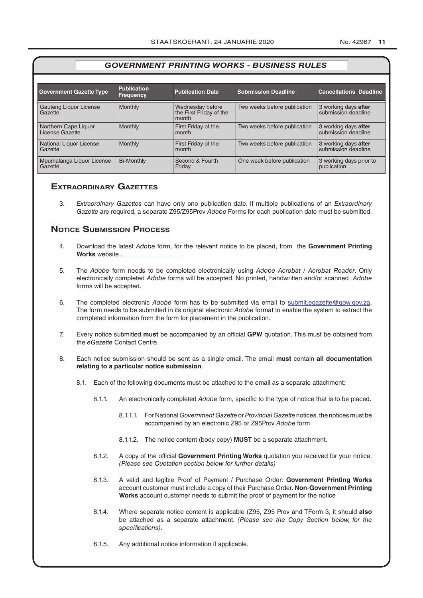|  | No. 42967 | 11 |
|--|-----------|----|
|--|-----------|----|

| <b>Government Gazette Type</b>          | <b>Publication</b><br><b>Frequency</b> | <b>Publication Date</b>                              | <b>Submission Deadline</b>   | <b>Cancellations Deadline</b>               |
|-----------------------------------------|----------------------------------------|------------------------------------------------------|------------------------------|---------------------------------------------|
| Gauteng Liquor License<br>Gazette       | Monthly                                | Wednesday before<br>the First Friday of the<br>month | Two weeks before publication | 3 working days after<br>submission deadline |
| Northern Cape Liquor<br>License Gazette | Monthly                                | First Friday of the<br>month                         | Two weeks before publication | 3 working days after<br>submission deadline |
| National Liquor License<br>Gazette      | Monthly                                | First Friday of the<br>month                         | Two weeks before publication | 3 working days after<br>submission deadline |
| Mpumalanga Liquor License<br>Gazette    | <b>Bi-Monthly</b>                      | Second & Fourth<br>Friday                            | One week before publication  | 3 working days prior to<br>publication      |

## **exTrAordinAry gAzeTTes**

3. *Extraordinary Gazettes* can have only one publication date. If multiple publications of an *Extraordinary Gazette* are required, a separate Z95/Z95Prov *Adobe* Forms for each publication date must be submitted.

## **NOTICE SUBMISSION PROCESS**

- 4. Download the latest *Adobe* form, for the relevant notice to be placed, from the **Government Printing Works** website .
- 5. The *Adobe* form needs to be completed electronically using *Adobe Acrobat* / *Acrobat Reader*. Only electronically completed *Adobe* forms will be accepted. No printed, handwritten and/or scanned *Adobe* forms will be accepted.
- 6. The completed electronic *Adobe* form has to be submitted via email to submit.egazette@gpw.gov.za. The form needs to be submitted in its original electronic *Adobe* format to enable the system to extract the completed information from the form for placement in the publication.
- 7. Every notice submitted **must** be accompanied by an official **GPW** quotation. This must be obtained from the *eGazette* Contact Centre.
- 8. Each notice submission should be sent as a single email. The email **must** contain **all documentation relating to a particular notice submission**.
	- 8.1. Each of the following documents must be attached to the email as a separate attachment:
		- 8.1.1. An electronically completed *Adobe* form, specific to the type of notice that is to be placed.
			- 8.1.1.1. For National *[Government Gazette](http://www.greengazette.co.za/government-gazette)* or *Provincial Gazette* notices, the notices must be accompanied by an electronic Z95 or Z95Prov *Adobe* form
			- 8.1.1.2. The notice content (body copy) **MUST** be a separate attachment.
		- 8.1.2. A copy of the official **Government Printing Works** quotation you received for your notice. *(Please see Quotation section below for further details)*
		- 8.1.3. A valid and legible Proof of Payment / Purchase Order: **Government Printing Works** account customer must include a copy of their Purchase Order*.* **Non**-**Government Printing Works** account customer needs to submit the proof of payment for the notice
		- 8.1.4. Where separate notice content is applicable (Z95, Z95 Prov and TForm 3, it should **also** be attached as a separate attachment. *(Please see the Copy Section below, for the specifications)*.
		- 8.1.5. Any additional notice information if applicable.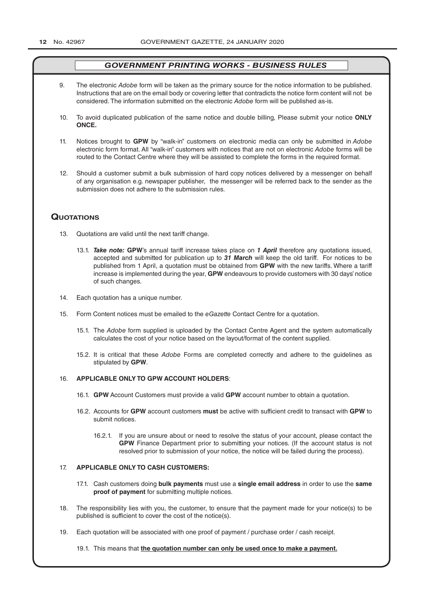- 9. The electronic *Adobe* form will be taken as the primary source for the notice information to be published. Instructions that are on the email body or covering letter that contradicts the notice form content will not be considered. The information submitted on the electronic *Adobe* form will be published as-is.
- 10. To avoid duplicated publication of the same notice and double billing, Please submit your notice **ONLY ONCE.**
- 11. Notices brought to **GPW** by "walk-in" customers on electronic media can only be submitted in *Adobe* electronic form format. All "walk-in" customers with notices that are not on electronic *Adobe* forms will be routed to the Contact Centre where they will be assisted to complete the forms in the required format.
- 12. Should a customer submit a bulk submission of hard copy notices delivered by a messenger on behalf of any organisation e.g. newspaper publisher, the messenger will be referred back to the sender as the submission does not adhere to the submission rules.

## **QuoTATions**

- 13. Quotations are valid until the next tariff change.
	- 13.1. *Take note:* **GPW**'s annual tariff increase takes place on *1 April* therefore any quotations issued, accepted and submitted for publication up to *31 March* will keep the old tariff. For notices to be published from 1 April, a quotation must be obtained from **GPW** with the new tariffs. Where a tariff increase is implemented during the year, **GPW** endeavours to provide customers with 30 days' notice of such changes.
- 14. Each quotation has a unique number.
- 15. Form Content notices must be emailed to the *eGazette* Contact Centre for a quotation.
	- 15.1. The *Adobe* form supplied is uploaded by the Contact Centre Agent and the system automatically calculates the cost of your notice based on the layout/format of the content supplied.
	- 15.2. It is critical that these *Adobe* Forms are completed correctly and adhere to the guidelines as stipulated by **GPW**.

#### 16. **APPLICABLE ONLY TO GPW ACCOUNT HOLDERS**:

- 16.1. **GPW** Account Customers must provide a valid **GPW** account number to obtain a quotation.
- 16.2. Accounts for **GPW** account customers **must** be active with sufficient credit to transact with **GPW** to submit notices.
	- 16.2.1. If you are unsure about or need to resolve the status of your account, please contact the **GPW** Finance Department prior to submitting your notices. (If the account status is not resolved prior to submission of your notice, the notice will be failed during the process).

#### 17. **APPLICABLE ONLY TO CASH CUSTOMERS:**

- 17.1. Cash customers doing **bulk payments** must use a **single email address** in order to use the **same proof of payment** for submitting multiple notices.
- 18. The responsibility lies with you, the customer, to ensure that the payment made for your notice(s) to be published is sufficient to cover the cost of the notice(s).
- 19. Each quotation will be associated with one proof of payment / purchase order / cash receipt.

19.1. This means that **the quotation number can only be used once to make a payment.**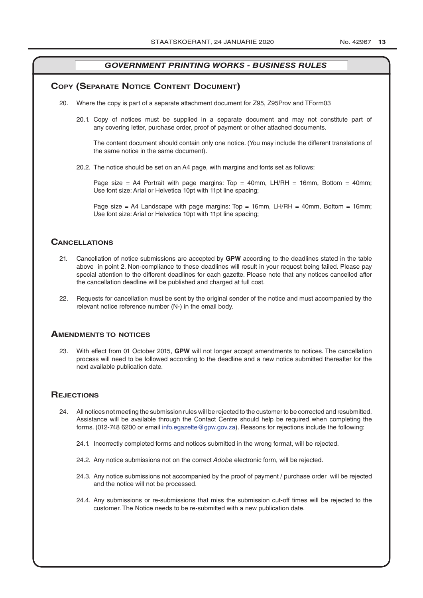## **COPY (SEPARATE NOTICE CONTENT DOCUMENT)**

- 20. Where the copy is part of a separate attachment document for Z95, Z95Prov and TForm03
	- 20.1. Copy of notices must be supplied in a separate document and may not constitute part of any covering letter, purchase order, proof of payment or other attached documents.

The content document should contain only one notice. (You may include the different translations of the same notice in the same document).

20.2. The notice should be set on an A4 page, with margins and fonts set as follows:

Page size = A4 Portrait with page margins: Top = 40mm, LH/RH = 16mm, Bottom = 40mm; Use font size: Arial or Helvetica 10pt with 11pt line spacing;

Page size = A4 Landscape with page margins:  $Top = 16mm$ , LH/RH = 40mm, Bottom = 16mm; Use font size: Arial or Helvetica 10pt with 11pt line spacing;

## **CAnCellATions**

- 21. Cancellation of notice submissions are accepted by **GPW** according to the deadlines stated in the table above in point 2. Non-compliance to these deadlines will result in your request being failed. Please pay special attention to the different deadlines for each gazette. Please note that any notices cancelled after the cancellation deadline will be published and charged at full cost.
- 22. Requests for cancellation must be sent by the original sender of the notice and must accompanied by the relevant notice reference number (N-) in the email body.

#### **AmendmenTs To noTiCes**

23. With effect from 01 October 2015, **GPW** will not longer accept amendments to notices. The cancellation process will need to be followed according to the deadline and a new notice submitted thereafter for the next available publication date.

### **REJECTIONS**

- 24. All notices not meeting the submission rules will be rejected to the customer to be corrected and resubmitted. Assistance will be available through the Contact Centre should help be required when completing the forms. (012-748 6200 or email info.egazette@gpw.gov.za). Reasons for rejections include the following:
	- 24.1. Incorrectly completed forms and notices submitted in the wrong format, will be rejected.
	- 24.2. Any notice submissions not on the correct *Adobe* electronic form, will be rejected.
	- 24.3. Any notice submissions not accompanied by the proof of payment / purchase order will be rejected and the notice will not be processed.
	- 24.4. Any submissions or re-submissions that miss the submission cut-off times will be rejected to the customer. The Notice needs to be re-submitted with a new publication date.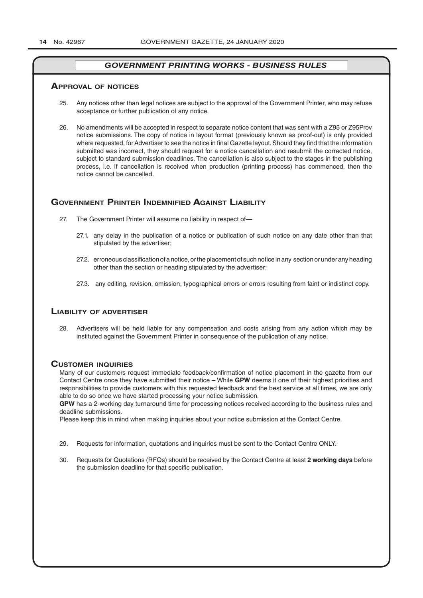#### **ApproVAl of noTiCes**

- 25. Any notices other than [legal notices](http://www.greengazette.co.za/publications/legal-notices) are subject to the approval of the Government Printer, who may refuse acceptance or further publication of any notice.
- 26. No amendments will be accepted in respect to separate notice content that was sent with a Z95 or Z95Prov notice submissions. The copy of notice in layout format (previously known as proof-out) is only provided where requested, for Advertiser to see the notice in final Gazette layout. Should they find that the information submitted was incorrect, they should request for a notice cancellation and resubmit the corrected notice, subject to standard submission deadlines. The cancellation is also subject to the stages in the publishing process, i.e. If cancellation is received when production (printing process) has commenced, then the notice cannot be cancelled.

## **GOVERNMENT PRINTER INDEMNIFIED AGAINST LIABILITY**

- 27. The Government Printer will assume no liability in respect of—
	- 27.1. any delay in the publication of a notice or publication of such notice on any date other than that stipulated by the advertiser;
	- 27.2. erroneous classification of a notice, or the placement of such notice in any section or under any heading other than the section or heading stipulated by the advertiser;
	- 27.3. any editing, revision, omission, typographical errors or errors resulting from faint or indistinct copy.

#### **liABiliTY of ADVerTiser**

28. Advertisers will be held liable for any compensation and costs arising from any action which may be instituted against the Government Printer in consequence of the publication of any notice.

#### **CUsTomer inQUiries**

Many of our customers request immediate feedback/confirmation of notice placement in the gazette from our Contact Centre once they have submitted their notice – While **GPW** deems it one of their highest priorities and responsibilities to provide customers with this requested feedback and the best service at all times, we are only able to do so once we have started processing your notice submission.

**GPW** has a 2-working day turnaround time for processing notices received according to the business rules and deadline submissions.

Please keep this in mind when making inquiries about your notice submission at the Contact Centre.

- 29. Requests for information, quotations and inquiries must be sent to the Contact Centre ONLY.
- 30. Requests for Quotations (RFQs) should be received by the Contact Centre at least **2 working days** before the submission deadline for that specific publication.